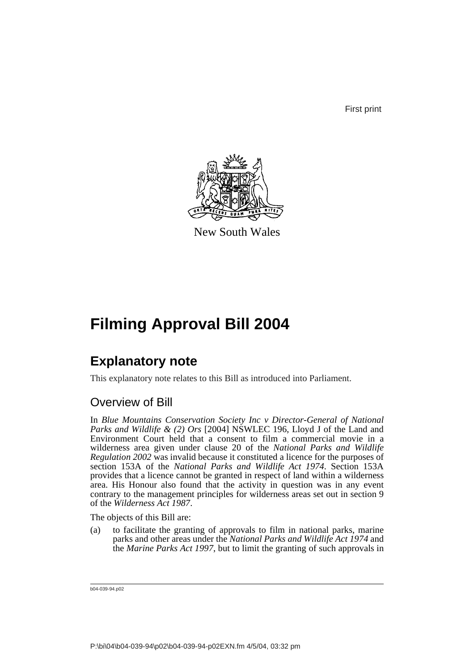First print



New South Wales

# **Filming Approval Bill 2004**

## **Explanatory note**

This explanatory note relates to this Bill as introduced into Parliament.

## Overview of Bill

In *Blue Mountains Conservation Society Inc v Director-General of National Parks and Wildlife & (2) Ors* [2004] NSWLEC 196, Lloyd J of the Land and Environment Court held that a consent to film a commercial movie in a wilderness area given under clause 20 of the *National Parks and Wildlife Regulation 2002* was invalid because it constituted a licence for the purposes of section 153A of the *National Parks and Wildlife Act 1974*. Section 153A provides that a licence cannot be granted in respect of land within a wilderness area. His Honour also found that the activity in question was in any event contrary to the management principles for wilderness areas set out in section 9 of the *Wilderness Act 1987*.

The objects of this Bill are:

(a) to facilitate the granting of approvals to film in national parks, marine parks and other areas under the *National Parks and Wildlife Act 1974* and the *Marine Parks Act 1997*, but to limit the granting of such approvals in

b04-039-94.p02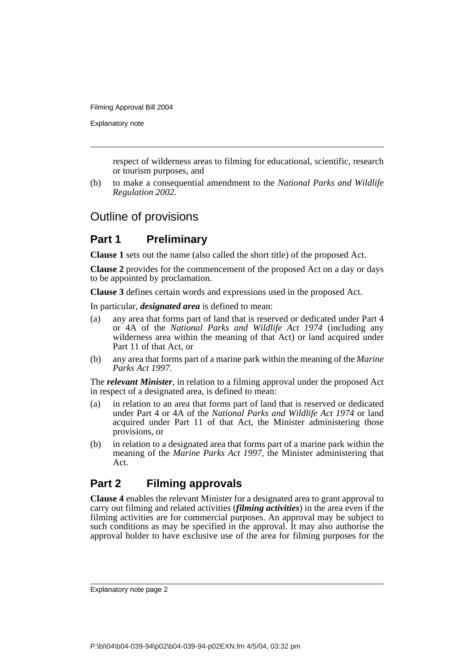Explanatory note

respect of wilderness areas to filming for educational, scientific, research or tourism purposes, and

(b) to make a consequential amendment to the *National Parks and Wildlife Regulation 2002*.

## Outline of provisions

## **Part 1 Preliminary**

**Clause 1** sets out the name (also called the short title) of the proposed Act.

**Clause 2** provides for the commencement of the proposed Act on a day or days to be appointed by proclamation.

**Clause 3** defines certain words and expressions used in the proposed Act.

In particular, *designated area* is defined to mean:

- (a) any area that forms part of land that is reserved or dedicated under Part 4 or 4A of the *National Parks and Wildlife Act 1974* (including any wilderness area within the meaning of that Act) or land acquired under Part 11 of that Act, or
- (b) any area that forms part of a marine park within the meaning of the *Marine Parks Act 1997*.

The *relevant Minister*, in relation to a filming approval under the proposed Act in respect of a designated area, is defined to mean:

- (a) in relation to an area that forms part of land that is reserved or dedicated under Part 4 or 4A of the *National Parks and Wildlife Act 1974* or land acquired under Part 11 of that Act, the Minister administering those provisions, or
- (b) in relation to a designated area that forms part of a marine park within the meaning of the *Marine Parks Act 1997*, the Minister administering that Act.

## **Part 2 Filming approvals**

**Clause 4** enables the relevant Minister for a designated area to grant approval to carry out filming and related activities (*filming activities*) in the area even if the filming activities are for commercial purposes. An approval may be subject to such conditions as may be specified in the approval. It may also authorise the approval holder to have exclusive use of the area for filming purposes for the

Explanatory note page 2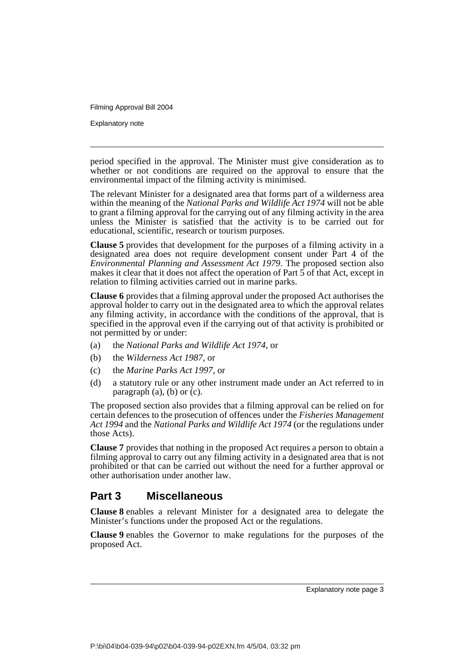Explanatory note

period specified in the approval. The Minister must give consideration as to whether or not conditions are required on the approval to ensure that the environmental impact of the filming activity is minimised.

The relevant Minister for a designated area that forms part of a wilderness area within the meaning of the *National Parks and Wildlife Act 1974* will not be able to grant a filming approval for the carrying out of any filming activity in the area unless the Minister is satisfied that the activity is to be carried out for educational, scientific, research or tourism purposes.

**Clause 5** provides that development for the purposes of a filming activity in a designated area does not require development consent under Part 4 of the *Environmental Planning and Assessment Act 1979*. The proposed section also makes it clear that it does not affect the operation of Part  $\vec{5}$  of that Act, except in relation to filming activities carried out in marine parks.

**Clause 6** provides that a filming approval under the proposed Act authorises the approval holder to carry out in the designated area to which the approval relates any filming activity, in accordance with the conditions of the approval, that is specified in the approval even if the carrying out of that activity is prohibited or not permitted by or under:

- (a) the *National Parks and Wildlife Act 1974*, or
- (b) the *Wilderness Act 1987*, or
- (c) the *Marine Parks Act 1997*, or
- (d) a statutory rule or any other instrument made under an Act referred to in paragraph  $(a)$ ,  $(b)$  or  $(c)$ .

The proposed section also provides that a filming approval can be relied on for certain defences to the prosecution of offences under the *Fisheries Management Act 1994* and the *National Parks and Wildlife Act 1974* (or the regulations under those Acts).

**Clause 7** provides that nothing in the proposed Act requires a person to obtain a filming approval to carry out any filming activity in a designated area that is not prohibited or that can be carried out without the need for a further approval or other authorisation under another law.

## **Part 3 Miscellaneous**

**Clause 8** enables a relevant Minister for a designated area to delegate the Minister's functions under the proposed Act or the regulations.

**Clause 9** enables the Governor to make regulations for the purposes of the proposed Act.

Explanatory note page 3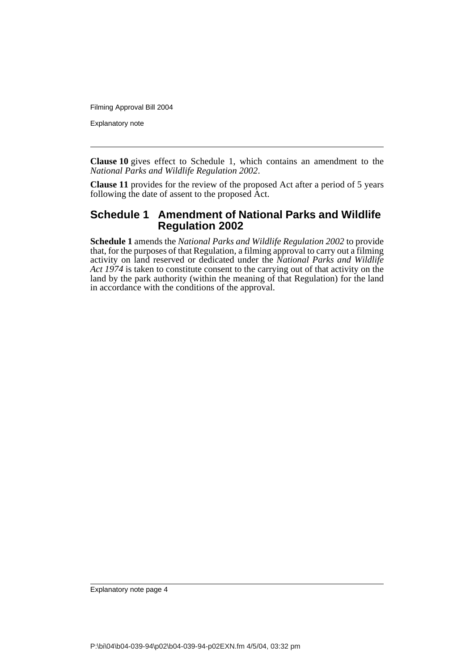Explanatory note

**Clause 10** gives effect to Schedule 1, which contains an amendment to the *National Parks and Wildlife Regulation 2002*.

**Clause 11** provides for the review of the proposed Act after a period of 5 years following the date of assent to the proposed Act.

### **Schedule 1 Amendment of National Parks and Wildlife Regulation 2002**

**Schedule 1** amends the *National Parks and Wildlife Regulation 2002* to provide that, for the purposes of that Regulation, a filming approval to carry out a filming activity on land reserved or dedicated under the *National Parks and Wildlife Act 1974* is taken to constitute consent to the carrying out of that activity on the land by the park authority (within the meaning of that Regulation) for the land in accordance with the conditions of the approval.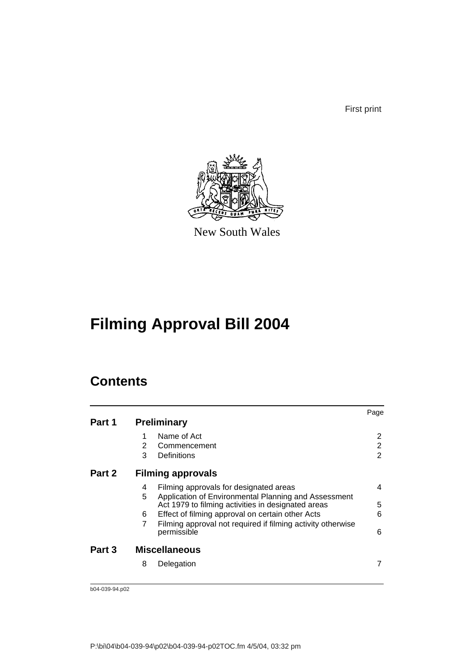First print



New South Wales

# **Filming Approval Bill 2004**

## **Contents**

|        |   |                                                                                                            | Page |
|--------|---|------------------------------------------------------------------------------------------------------------|------|
| Part 1 |   | <b>Preliminary</b>                                                                                         |      |
|        |   | Name of Act                                                                                                | 2    |
|        | 2 | Commencement                                                                                               | 2    |
|        | 3 | Definitions                                                                                                | 2    |
| Part 2 |   | <b>Filming approvals</b>                                                                                   |      |
|        | 4 | Filming approvals for designated areas                                                                     | 4    |
|        | 5 | Application of Environmental Planning and Assessment<br>Act 1979 to filming activities in designated areas | 5    |
|        | 6 | Effect of filming approval on certain other Acts                                                           | 6    |
|        | 7 | Filming approval not required if filming activity otherwise<br>permissible                                 | 6    |
| Part 3 |   | <b>Miscellaneous</b>                                                                                       |      |
|        | 8 | Delegation                                                                                                 | 7    |
|        |   |                                                                                                            |      |

b04-039-94.p02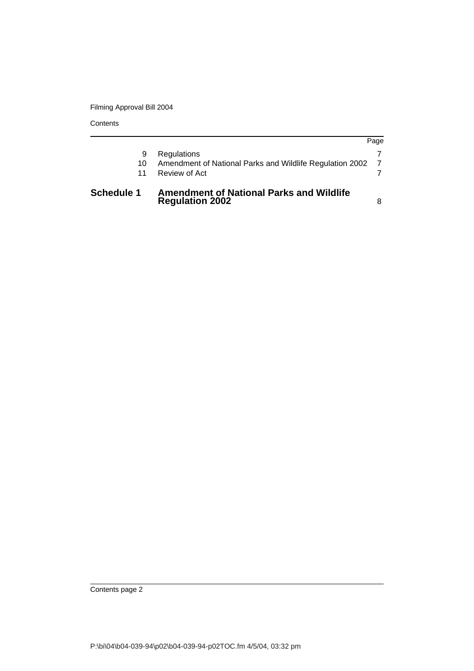**Contents** 

| <b>Schedule 1</b> | <b>Amendment of National Parks and Wildlife</b><br><b>Regulation 2002</b> |      |
|-------------------|---------------------------------------------------------------------------|------|
| 10<br>11          | Amendment of National Parks and Wildlife Regulation 2002<br>Review of Act |      |
| 9                 | Regulations                                                               |      |
|                   |                                                                           | Page |

Contents page 2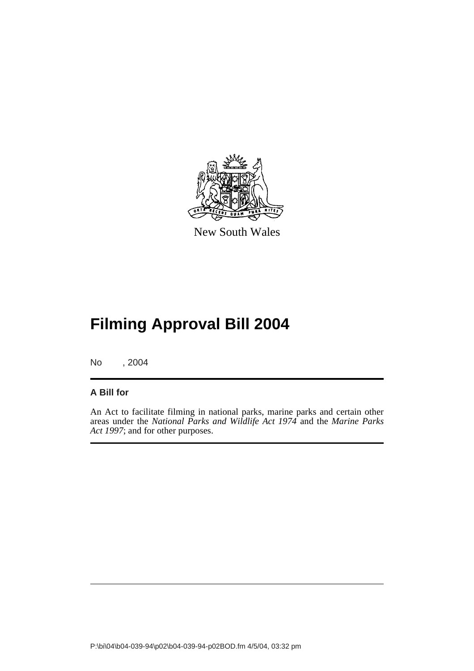

New South Wales

# **Filming Approval Bill 2004**

No , 2004

#### **A Bill for**

An Act to facilitate filming in national parks, marine parks and certain other areas under the *National Parks and Wildlife Act 1974* and the *Marine Parks Act 1997*; and for other purposes.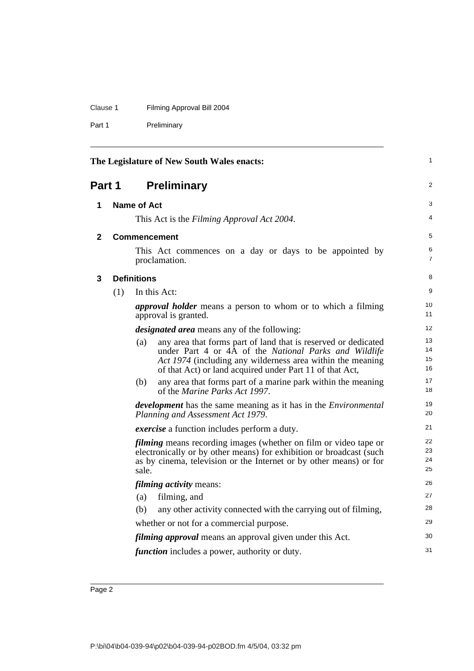### Clause 1 Filming Approval Bill 2004

Part 1 Preliminary

<span id="page-7-3"></span><span id="page-7-2"></span><span id="page-7-1"></span><span id="page-7-0"></span>

|              |     |                    | The Legislature of New South Wales enacts:                                                                                                                                                                                                        | 1                    |
|--------------|-----|--------------------|---------------------------------------------------------------------------------------------------------------------------------------------------------------------------------------------------------------------------------------------------|----------------------|
| Part 1       |     |                    | <b>Preliminary</b>                                                                                                                                                                                                                                | 2                    |
| 1            |     | <b>Name of Act</b> |                                                                                                                                                                                                                                                   | 3                    |
|              |     |                    | This Act is the Filming Approval Act 2004.                                                                                                                                                                                                        | 4                    |
| $\mathbf{2}$ |     |                    | Commencement                                                                                                                                                                                                                                      | 5                    |
|              |     |                    | This Act commences on a day or days to be appointed by<br>proclamation.                                                                                                                                                                           | 6<br>7               |
| 3            |     | <b>Definitions</b> |                                                                                                                                                                                                                                                   | 8                    |
|              | (1) |                    | In this Act:                                                                                                                                                                                                                                      | 9                    |
|              |     |                    | <i>approval holder</i> means a person to whom or to which a filming<br>approval is granted.                                                                                                                                                       | 10<br>11             |
|              |     |                    | <i>designated area</i> means any of the following:                                                                                                                                                                                                | 12                   |
|              |     | (a)                | any area that forms part of land that is reserved or dedicated<br>under Part 4 or 4A of the National Parks and Wildlife<br>Act 1974 (including any wilderness area within the meaning<br>of that Act) or land acquired under Part 11 of that Act, | 13<br>14<br>15<br>16 |
|              |     | (b)                | any area that forms part of a marine park within the meaning<br>of the <i>Marine Parks Act 1997</i> .                                                                                                                                             | 17<br>18             |
|              |     |                    | <i>development</i> has the same meaning as it has in the <i>Environmental</i><br>Planning and Assessment Act 1979.                                                                                                                                | 19<br>20             |
|              |     |                    | <i>exercise</i> a function includes perform a duty.                                                                                                                                                                                               | 21                   |
|              |     | sale.              | <i>filming</i> means recording images (whether on film or video tape or<br>electronically or by other means) for exhibition or broadcast (such<br>as by cinema, television or the Internet or by other means) or for                              | 22<br>23<br>24<br>25 |
|              |     |                    | <i>filming activity means:</i>                                                                                                                                                                                                                    | 26                   |
|              |     | (a)                | filming, and                                                                                                                                                                                                                                      | 27                   |
|              |     | (b)                | any other activity connected with the carrying out of filming,                                                                                                                                                                                    | 28                   |
|              |     |                    | whether or not for a commercial purpose.                                                                                                                                                                                                          | 29                   |
|              |     |                    | <i>filming approval</i> means an approval given under this Act.                                                                                                                                                                                   | 30                   |
|              |     |                    | <i>function</i> includes a power, authority or duty.                                                                                                                                                                                              | 31                   |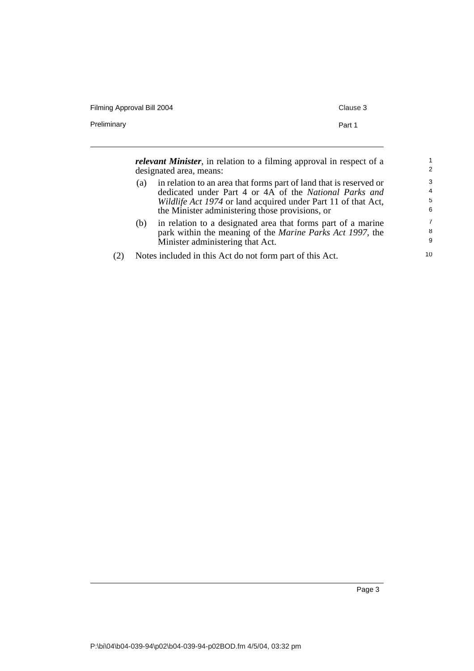| Filming Approval Bill 2004                                                   | Clause 3 |  |
|------------------------------------------------------------------------------|----------|--|
| Preliminary                                                                  | Part 1   |  |
|                                                                              |          |  |
| <i>relevant Minister</i> , in relation to a filming approval in respect of a |          |  |
| designated area, means:                                                      |          |  |

| (a) | in relation to an area that forms part of land that is reserved or<br>dedicated under Part 4 or 4A of the National Parks and |
|-----|------------------------------------------------------------------------------------------------------------------------------|
|     | Wildlife Act 1974 or land acquired under Part 11 of that Act,                                                                |
|     | the Minister administering those provisions, or                                                                              |
|     | $(h)$ in relation to a decignated area that forms part of a marine                                                           |

- (b) in relation to a designated area that forms part of a marine park within the meaning of the *Marine Parks Act 1997*, the Minister administering that Act.
- (2) Notes included in this Act do not form part of this Act.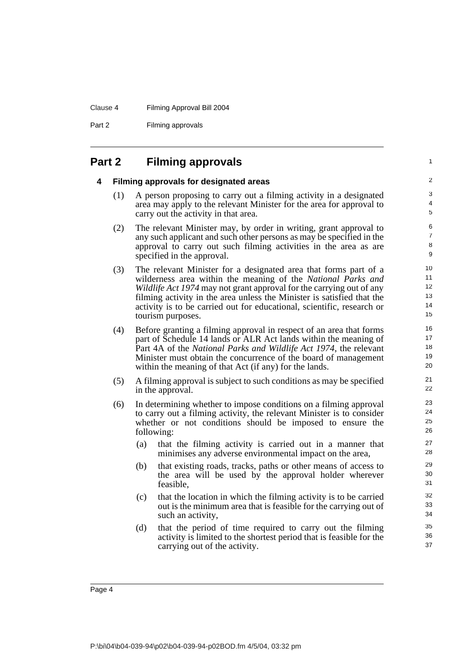#### Clause 4 Filming Approval Bill 2004

Part 2 Filming approvals

### <span id="page-9-1"></span><span id="page-9-0"></span>**Part 2 Filming approvals**

#### **4 Filming approvals for designated areas**

(1) A person proposing to carry out a filming activity in a designated area may apply to the relevant Minister for the area for approval to carry out the activity in that area.

1

- (2) The relevant Minister may, by order in writing, grant approval to any such applicant and such other persons as may be specified in the approval to carry out such filming activities in the area as are specified in the approval.
- (3) The relevant Minister for a designated area that forms part of a wilderness area within the meaning of the *National Parks and Wildlife Act 1974* may not grant approval for the carrying out of any filming activity in the area unless the Minister is satisfied that the activity is to be carried out for educational, scientific, research or tourism purposes.
- (4) Before granting a filming approval in respect of an area that forms part of Schedule 14 lands or ALR Act lands within the meaning of Part 4A of the *National Parks and Wildlife Act 1974*, the relevant Minister must obtain the concurrence of the board of management within the meaning of that Act (if any) for the lands.
- (5) A filming approval is subject to such conditions as may be specified in the approval.
- (6) In determining whether to impose conditions on a filming approval to carry out a filming activity, the relevant Minister is to consider whether or not conditions should be imposed to ensure the following:
	- (a) that the filming activity is carried out in a manner that minimises any adverse environmental impact on the area,
	- (b) that existing roads, tracks, paths or other means of access to the area will be used by the approval holder wherever feasible,
	- (c) that the location in which the filming activity is to be carried out is the minimum area that is feasible for the carrying out of such an activity,
	- (d) that the period of time required to carry out the filming activity is limited to the shortest period that is feasible for the carrying out of the activity.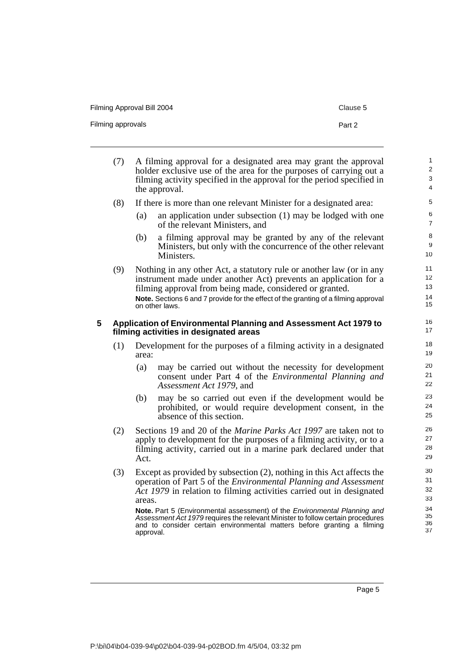Filming Approval Bill 2004 Clause 5

Filming approvals **Part 2** 

| (7) | A filming approval for a designated area may grant the approval<br>holder exclusive use of the area for the purposes of carrying out a<br>filming activity specified in the approval for the period specified in<br>the approval. |                                                                                                                                          |  |  |
|-----|-----------------------------------------------------------------------------------------------------------------------------------------------------------------------------------------------------------------------------------|------------------------------------------------------------------------------------------------------------------------------------------|--|--|
| (8) | If there is more than one relevant Minister for a designated area:                                                                                                                                                                |                                                                                                                                          |  |  |
|     | (a)                                                                                                                                                                                                                               | an application under subsection $(1)$ may be lodged with one<br>of the relevant Ministers, and                                           |  |  |
|     | (b)                                                                                                                                                                                                                               | a filming approval may be granted by any of the relevant<br>Ministers, but only with the concurrence of the other relevant<br>Ministers. |  |  |
|     |                                                                                                                                                                                                                                   |                                                                                                                                          |  |  |

(9) Nothing in any other Act, a statutory rule or another law (or in any instrument made under another Act) prevents an application for a filming approval from being made, considered or granted. **Note.** Sections 6 and 7 provide for the effect of the granting of a filming approval on other laws.

#### <span id="page-10-0"></span>**5 Application of Environmental Planning and Assessment Act 1979 to filming activities in designated areas**

- (1) Development for the purposes of a filming activity in a designated area:
	- (a) may be carried out without the necessity for development consent under Part 4 of the *Environmental Planning and Assessment Act 1979*, and
	- (b) may be so carried out even if the development would be prohibited, or would require development consent, in the absence of this section.
- (2) Sections 19 and 20 of the *Marine Parks Act 1997* are taken not to apply to development for the purposes of a filming activity, or to a filming activity, carried out in a marine park declared under that Act.
- (3) Except as provided by subsection (2), nothing in this Act affects the operation of Part 5 of the *Environmental Planning and Assessment Act 1979* in relation to filming activities carried out in designated areas.

**Note.** Part 5 (Environmental assessment) of the *Environmental Planning and Assessment Act 1979* requires the relevant Minister to follow certain procedures and to consider certain environmental matters before granting a filming approval.

Page 5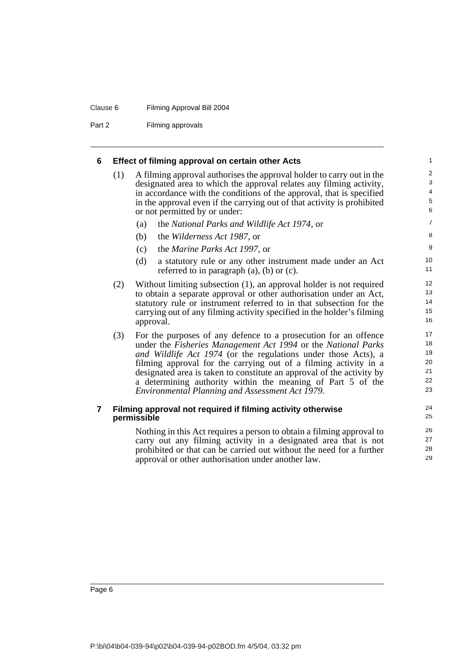#### Clause 6 Filming Approval Bill 2004

Part 2 Filming approvals

<span id="page-11-0"></span>

| 6 |  |  | <b>Effect of filming approval on certain other Acts</b> |  |  |  |  |
|---|--|--|---------------------------------------------------------|--|--|--|--|
|---|--|--|---------------------------------------------------------|--|--|--|--|

(1) A filming approval authorises the approval holder to carry out in the designated area to which the approval relates any filming activity, in accordance with the conditions of the approval, that is specified in the approval even if the carrying out of that activity is prohibited or not permitted by or under:

- (a) the *National Parks and Wildlife Act 1974*, or
- (b) the *Wilderness Act 1987*, or
- (c) the *Marine Parks Act 1997*, or
- (d) a statutory rule or any other instrument made under an Act referred to in paragraph (a), (b) or (c).
- (2) Without limiting subsection (1), an approval holder is not required to obtain a separate approval or other authorisation under an Act, statutory rule or instrument referred to in that subsection for the carrying out of any filming activity specified in the holder's filming approval.
- (3) For the purposes of any defence to a prosecution for an offence under the *Fisheries Management Act 1994* or the *National Parks and Wildlife Act 1974* (or the regulations under those Acts), a filming approval for the carrying out of a filming activity in a designated area is taken to constitute an approval of the activity by a determining authority within the meaning of Part 5 of the *Environmental Planning and Assessment Act 1979*.

#### <span id="page-11-1"></span>**7 Filming approval not required if filming activity otherwise permissible**

Nothing in this Act requires a person to obtain a filming approval to carry out any filming activity in a designated area that is not prohibited or that can be carried out without the need for a further approval or other authorisation under another law.

P:\bi\04\b04-039-94\p02\b04-039-94-p02BOD.fm 4/5/04, 03:32 pm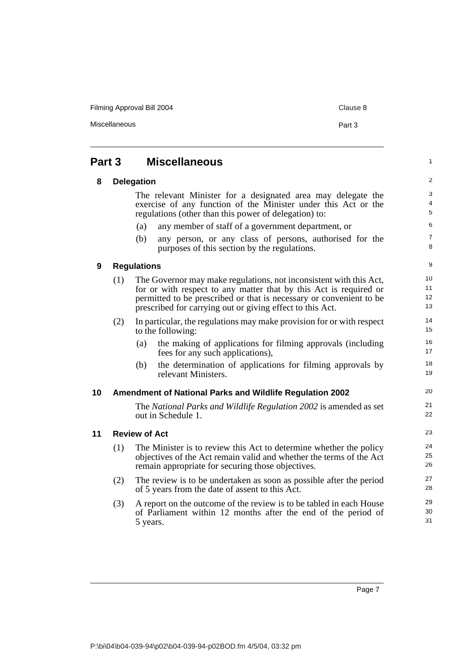Filming Approval Bill 2004 Clause 8

Miscellaneous **Part 3** 

#### <span id="page-12-4"></span><span id="page-12-3"></span><span id="page-12-2"></span><span id="page-12-1"></span><span id="page-12-0"></span>**Part 3 Miscellaneous 8 Delegation** The relevant Minister for a designated area may delegate the exercise of any function of the Minister under this Act or the regulations (other than this power of delegation) to: (a) any member of staff of a government department, or (b) any person, or any class of persons, authorised for the purposes of this section by the regulations. **9 Regulations** (1) The Governor may make regulations, not inconsistent with this Act, for or with respect to any matter that by this Act is required or permitted to be prescribed or that is necessary or convenient to be prescribed for carrying out or giving effect to this Act. (2) In particular, the regulations may make provision for or with respect to the following: (a) the making of applications for filming approvals (including fees for any such applications), (b) the determination of applications for filming approvals by relevant Ministers. **10 Amendment of National Parks and Wildlife Regulation 2002** The *National Parks and Wildlife Regulation 2002* is amended as set out in Schedule 1. **11 Review of Act** (1) The Minister is to review this Act to determine whether the policy objectives of the Act remain valid and whether the terms of the Act remain appropriate for securing those objectives. (2) The review is to be undertaken as soon as possible after the period of 5 years from the date of assent to this Act. (3) A report on the outcome of the review is to be tabled in each House of Parliament within 12 months after the end of the period of 5 years. 1 2 3 4 5 6 7 8 9 10 11 12 13 14 15 16 17 18 19 20 21 22 23 24 25 26 27 28 29 30 31

Page 7